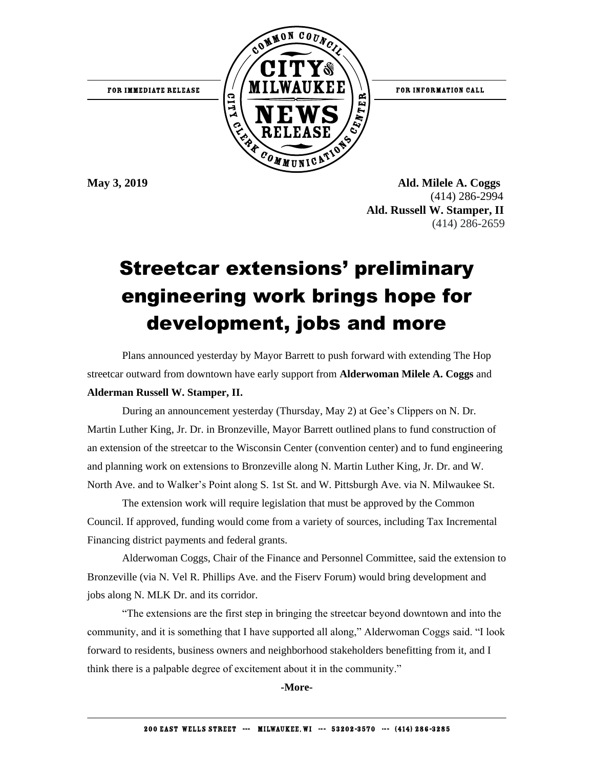

**May 3, 2019 Ald. Milele A. Coggs**  (414) 286-2994 **Ald. Russell W. Stamper, II** (414) 286-2659

## Streetcar extensions' preliminary engineering work brings hope for development, jobs and more

Plans announced yesterday by Mayor Barrett to push forward with extending The Hop streetcar outward from downtown have early support from **Alderwoman Milele A. Coggs** and **Alderman Russell W. Stamper, II.**

During an announcement yesterday (Thursday, May 2) at Gee's Clippers on N. Dr. Martin Luther King, Jr. Dr. in Bronzeville, Mayor Barrett outlined plans to fund construction of an extension of the streetcar to the Wisconsin Center (convention center) and to fund engineering and planning work on extensions to Bronzeville along N. Martin Luther King, Jr. Dr. and W. North Ave. and to Walker's Point along S. 1st St. and W. Pittsburgh Ave. via N. Milwaukee St.

The extension work will require legislation that must be approved by the Common Council. If approved, funding would come from a variety of sources, including Tax Incremental Financing district payments and federal grants.

Alderwoman Coggs, Chair of the Finance and Personnel Committee, said the extension to Bronzeville (via N. Vel R. Phillips Ave. and the Fiserv Forum) would bring development and jobs along N. MLK Dr. and its corridor.

"The extensions are the first step in bringing the streetcar beyond downtown and into the community, and it is something that I have supported all along," Alderwoman Coggs said. "I look forward to residents, business owners and neighborhood stakeholders benefitting from it, and I think there is a palpable degree of excitement about it in the community."

**-More-**